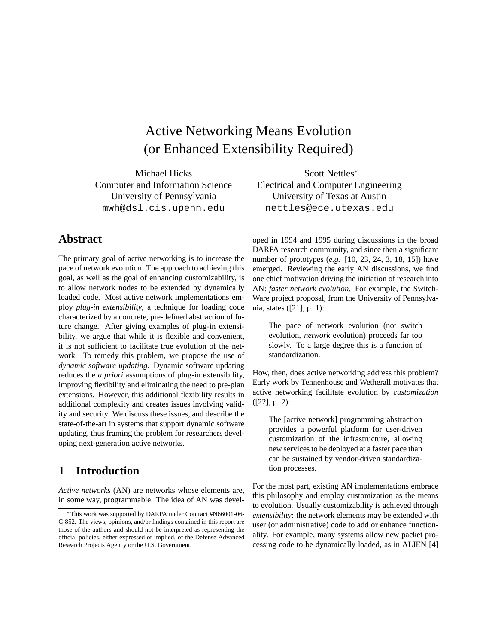# Active Networking Means Evolution (or Enhanced Extensibility Required)

Michael Hicks Computer and Information Science University of Pennsylvania mwh@dsl.cis.upenn.edu

# **Abstract**

The primary goal of active networking is to increase the pace of network evolution. The approach to achieving this goal, as well as the goal of enhancing customizability, is to allow network nodes to be extended by dynamically loaded code. Most active network implementations employ *plug-in extensibility*, a technique for loading code characterized by a concrete, pre-defined abstraction of future change. After giving examples of plug-in extensibility, we argue that while it is flexible and convenient, it is not sufficient to facilitate true evolution of the network. To remedy this problem, we propose the use of *dynamic software updating*. Dynamic software updating reduces the *a priori* assumptions of plug-in extensibility, improving flexibility and eliminating the need to pre-plan extensions. However, this additional flexibility results in additional complexity and creates issues involving validity and security. We discuss these issues, and describe the state-of-the-art in systems that support dynamic software updating, thus framing the problem for researchers developing next-generation active networks.

# **1 Introduction**

*Active networks* (AN) are networks whose elements are, in some way, programmable. The idea of AN was devel-

Scott Nettles<sup>∗</sup> Electrical and Computer Engineering University of Texas at Austin nettles@ece.utexas.edu

oped in 1994 and 1995 during discussions in the broad DARPA research community, and since then a significant number of prototypes (*e.g.* [10, 23, 24, 3, 18, 15]) have emerged. Reviewing the early AN discussions, we find one chief motivation driving the initiation of research into AN: *faster network evolution*. For example, the Switch-Ware project proposal, from the University of Pennsylvania, states ([21], p. 1):

The pace of network evolution (not switch evolution, *network* evolution) proceeds far too slowly. To a large degree this is a function of standardization.

How, then, does active networking address this problem? Early work by Tennenhouse and Wetherall motivates that active networking facilitate evolution by *customization* ([22], p. 2):

The [active network] programming abstraction provides a powerful platform for user-driven customization of the infrastructure, allowing new services to be deployed at a faster pace than can be sustained by vendor-driven standardization processes.

For the most part, existing AN implementations embrace this philosophy and employ customization as the means to evolution. Usually customizability is achieved through *extensibility*: the network elements may be extended with user (or administrative) code to add or enhance functionality. For example, many systems allow new packet processing code to be dynamically loaded, as in ALIEN [4]

<sup>∗</sup>This work was supported by DARPA under Contract #N66001-06- C-852. The views, opinions, and/or findings contained in this report are those of the authors and should not be interpreted as representing the official policies, either expressed or implied, of the Defense Advanced Research Projects Agency or the U.S. Government.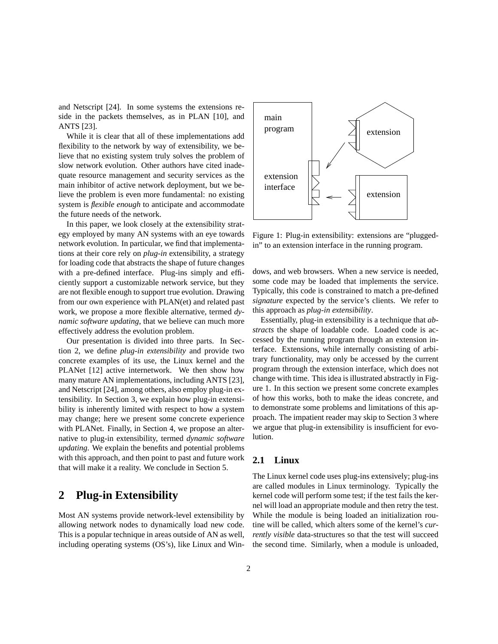and Netscript [24]. In some systems the extensions reside in the packets themselves, as in PLAN [10], and ANTS [23].

While it is clear that all of these implementations add flexibility to the network by way of extensibility, we believe that no existing system truly solves the problem of slow network evolution. Other authors have cited inadequate resource management and security services as the main inhibitor of active network deployment, but we believe the problem is even more fundamental: no existing system is *flexible enough* to anticipate and accommodate the future needs of the network.

In this paper, we look closely at the extensibility strategy employed by many AN systems with an eye towards network evolution. In particular, we find that implementations at their core rely on *plug-in* extensibility, a strategy for loading code that abstracts the shape of future changes with a pre-defined interface. Plug-ins simply and efficiently support a customizable network service, but they are not flexible enough to support true evolution. Drawing from our own experience with PLAN(et) and related past work, we propose a more flexible alternative, termed *dynamic software updating*, that we believe can much more effectively address the evolution problem.

Our presentation is divided into three parts. In Section 2, we define *plug-in extensibility* and provide two concrete examples of its use, the Linux kernel and the PLANet [12] active internetwork. We then show how many mature AN implementations, including ANTS [23], and Netscript [24], among others, also employ plug-in extensibility. In Section 3, we explain how plug-in extensibility is inherently limited with respect to how a system may change; here we present some concrete experience with PLANet. Finally, in Section 4, we propose an alternative to plug-in extensibility, termed *dynamic software updating*. We explain the benefits and potential problems with this approach, and then point to past and future work that will make it a reality. We conclude in Section 5. side in the packets themselves, as in PLAN [10], and<br>
ANTS [23].<br>
While it is clear that all of these implementations add<br>
flexibility to the network by way of extensibility, we be-<br>
slow network evolution. Other authors

# **2 Plug-in Extensibility**

Most AN systems provide network-level extensibility by allowing network nodes to dynamically load new code. This is a popular technique in areas outside of AN as well,



Figure 1: Plug-in extensibility: extensions are "pluggedin" to an extension interface in the running program.

dows, and web browsers. When a new service is needed, some code may be loaded that implements the service. Typically, this code is constrained to match a pre-defined *signature* expected by the service's clients. We refer to this approach as *plug-in extensibility*.

Essentially, plug-in extensibility is a technique that *abstracts* the shape of loadable code. Loaded code is accessed by the running program through an extension interface. Extensions, while internally consisting of arbitrary functionality, may only be accessed by the current program through the extension interface, which does not change with time. This idea is illustrated abstractly in Figure 1. In this section we present some concrete examples of how this works, both to make the ideas concrete, and to demonstrate some problems and limitations of this approach. The impatient reader may skip to Section 3 where we argue that plug-in extensibility is insufficient for evolution.

### **2.1 Linux**

The Linux kernel code uses plug-ins extensively; plug-ins are called modules in Linux terminology. Typically the kernel code will perform some test; if the test fails the kernel will load an appropriate module and then retry the test. While the module is being loaded an initialization routine will be called, which alters some of the kernel's *currently visible* data-structures so that the test will succeed the second time. Similarly, when a module is unloaded,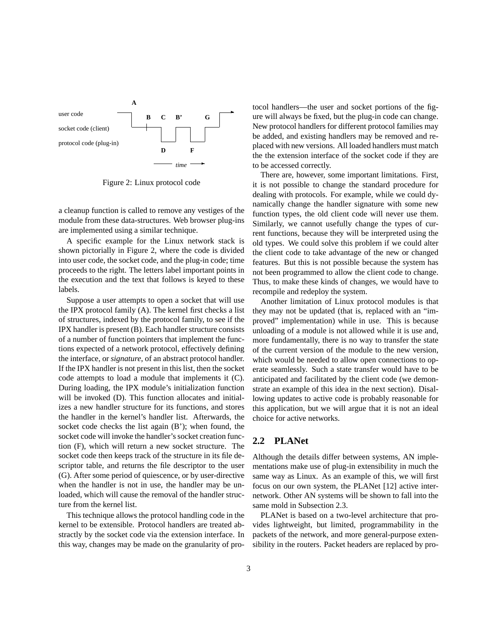

Figure 2: Linux protocol code

a cleanup function is called to remove any vestiges of the module from these data-structures. Web browser plug-ins are implemented using a similar technique.

A specific example for the Linux network stack is shown pictorially in Figure 2, where the code is divided into user code, the socket code, and the plug-in code; time proceeds to the right. The letters label important points in the execution and the text that follows is keyed to these labels.

Suppose a user attempts to open a socket that will use the IPX protocol family (A). The kernel first checks a list of structures, indexed by the protocol family, to see if the IPX handler is present (B). Each handler structure consists of a number of function pointers that implement the functions expected of a network protocol, effectively defining the interface, or *signature*, of an abstract protocol handler. If the IPX handler is not present in this list, then the socket code attempts to load a module that implements it (C). During loading, the IPX module's initialization function will be invoked (D). This function allocates and initializes a new handler structure for its functions, and stores the handler in the kernel's handler list. Afterwards, the socket code checks the list again (B'); when found, the socket code will invoke the handler's socket creation function (F), which will return a new socket structure. The socket code then keeps track of the structure in its file descriptor table, and returns the file descriptor to the user (G). After some period of quiescence, or by user-directive when the handler is not in use, the handler may be unloaded, which will cause the removal of the handler structure from the kernel list.

This technique allows the protocol handling code in the kernel to be extensible. Protocol handlers are treated abstractly by the socket code via the extension interface. In this way, changes may be made on the granularity of protocol handlers—the user and socket portions of the figure will always be fixed, but the plug-in code can change. New protocol handlers for different protocol families may be added, and existing handlers may be removed and replaced with new versions. All loaded handlers must match the the extension interface of the socket code if they are to be accessed correctly.

There are, however, some important limitations. First, it is not possible to change the standard procedure for dealing with protocols. For example, while we could dynamically change the handler signature with some new function types, the old client code will never use them. Similarly, we cannot usefully change the types of current functions, because they will be interpreted using the old types. We could solve this problem if we could alter the client code to take advantage of the new or changed features. But this is not possible because the system has not been programmed to allow the client code to change. Thus, to make these kinds of changes, we would have to recompile and redeploy the system.

Another limitation of Linux protocol modules is that they may not be updated (that is, replaced with an "improved" implementation) while in use. This is because unloading of a module is not allowed while it is use and, more fundamentally, there is no way to transfer the state of the current version of the module to the new version, which would be needed to allow open connections to operate seamlessly. Such a state transfer would have to be anticipated and facilitated by the client code (we demonstrate an example of this idea in the next section). Disallowing updates to active code is probably reasonable for this application, but we will argue that it is not an ideal choice for active networks.

### **2.2 PLANet**

Although the details differ between systems, AN implementations make use of plug-in extensibility in much the same way as Linux. As an example of this, we will first focus on our own system, the PLANet [12] active internetwork. Other AN systems will be shown to fall into the same mold in Subsection 2.3.

PLANet is based on a two-level architecture that provides lightweight, but limited, programmability in the packets of the network, and more general-purpose extensibility in the routers. Packet headers are replaced by pro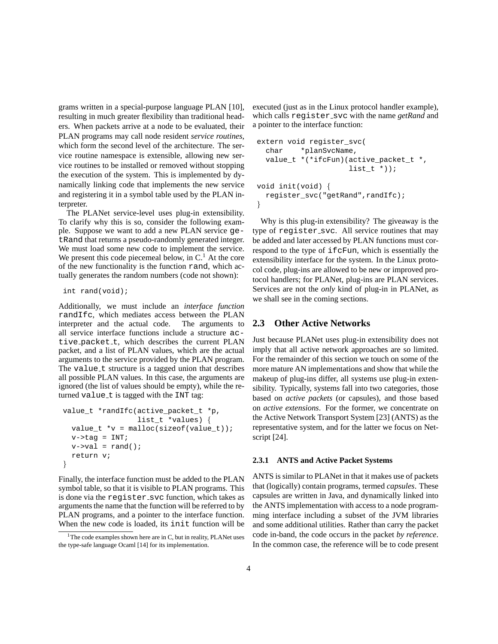grams written in a special-purpose language PLAN [10], resulting in much greater flexibility than traditional headers. When packets arrive at a node to be evaluated, their PLAN programs may call node resident *service routines*, which form the second level of the architecture. The service routine namespace is extensible, allowing new service routines to be installed or removed without stopping the execution of the system. This is implemented by dynamically linking code that implements the new service and registering it in a symbol table used by the PLAN interpreter.

The PLANet service-level uses plug-in extensibility. To clarify why this is so, consider the following example. Suppose we want to add a new PLAN service getRand that returns a pseudo-randomly generated integer. We must load some new code to implement the service. We present this code piecemeal below, in  $C<sup>1</sup>$  At the core of the new functionality is the function rand, which actually generates the random numbers (code not shown):

int rand(void);

Additionally, we must include an *interface function* randIfc, which mediates access between the PLAN interpreter and the actual code. The arguments to all service interface functions include a structure active packet t, which describes the current PLAN packet, and a list of PLAN values, which are the actual arguments to the service provided by the PLAN program. The value t structure is a tagged union that describes all possible PLAN values. In this case, the arguments are ignored (the list of values should be empty), while the returned value t is tagged with the INT tag:

```
value_t *randIfc(active_packet_t *p,
                 list_t *values) {
  value_t * v = malloc(sizeof(value_t));v->tag = INT;
  v->val = rand();
  return v;
}
```
Finally, the interface function must be added to the PLAN symbol table, so that it is visible to PLAN programs. This is done via the register svc function, which takes as arguments the name that the function will be referred to by PLAN programs, and a pointer to the interface function. When the new code is loaded, its init function will be

executed (just as in the Linux protocol handler example), which calls register svc with the name *getRand* and a pointer to the interface function:

```
extern void register svc(
  char *planSvcName,
  value_t *(*ifcFun)(active_packet_t *,
                     list_t * );
void init(void) {
 register_svc("getRand",randIfc);
}
```
Why is this plug-in extensibility? The giveaway is the type of register svc. All service routines that may be added and later accessed by PLAN functions must correspond to the type of ifcFun, which is essentially the extensibility interface for the system. In the Linux protocol code, plug-ins are allowed to be new or improved protocol handlers; for PLANet, plug-ins are PLAN services. Services are not the *only* kind of plug-in in PLANet, as we shall see in the coming sections.

### **2.3 Other Active Networks**

Just because PLANet uses plug-in extensibility does not imply that all active network approaches are so limited. For the remainder of this section we touch on some of the more mature AN implementations and show that while the makeup of plug-ins differ, all systems use plug-in extensibility. Typically, systems fall into two categories, those based on *active packets* (or capsules), and those based on *active extensions*. For the former, we concentrate on the Active Network Transport System [23] (ANTS) as the representative system, and for the latter we focus on Netscript [24].

#### **2.3.1 ANTS and Active Packet Systems**

ANTS is similar to PLANet in that it makes use of packets that (logically) contain programs, termed *capsules*. These capsules are written in Java, and dynamically linked into the ANTS implementation with access to a node programming interface including a subset of the JVM libraries and some additional utilities. Rather than carry the packet code in-band, the code occurs in the packet *by reference*. In the common case, the reference will be to code present

<sup>&</sup>lt;sup>1</sup>The code examples shown here are in C, but in reality, PLANet uses the type-safe language Ocaml [14] for its implementation.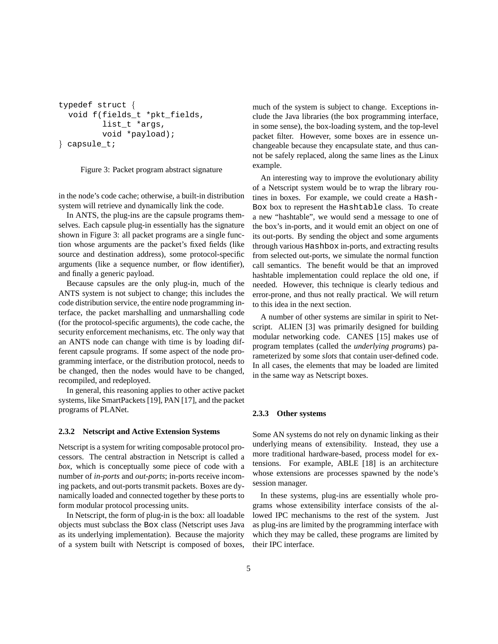```
typedef struct {
  void f(fields_t *pkt_fields,
         list_t *args,
         void *payload);
} capsule_t;
```
Figure 3: Packet program abstract signature

in the node's code cache; otherwise, a built-in distribution system will retrieve and dynamically link the code.

In ANTS, the plug-ins are the capsule programs themselves. Each capsule plug-in essentially has the signature shown in Figure 3: all packet programs are a single function whose arguments are the packet's fixed fields (like source and destination address), some protocol-specific arguments (like a sequence number, or flow identifier), and finally a generic payload.

Because capsules are the only plug-in, much of the ANTS system is not subject to change; this includes the code distribution service, the entire node programming interface, the packet marshalling and unmarshalling code (for the protocol-specific arguments), the code cache, the security enforcement mechanisms, etc. The only way that an ANTS node can change with time is by loading different capsule programs. If some aspect of the node programming interface, or the distribution protocol, needs to be changed, then the nodes would have to be changed, recompiled, and redeployed.

In general, this reasoning applies to other active packet systems, like SmartPackets [19], PAN [17], and the packet programs of PLANet.

#### **2.3.2 Netscript and Active Extension Systems**

Netscript is a system for writing composable protocol processors. The central abstraction in Netscript is called a *box*, which is conceptually some piece of code with a number of *in-ports* and *out-ports*; in-ports receive incoming packets, and out-ports transmit packets. Boxes are dynamically loaded and connected together by these ports to form modular protocol processing units.

In Netscript, the form of plug-in is the box: all loadable objects must subclass the Box class (Netscript uses Java as its underlying implementation). Because the majority of a system built with Netscript is composed of boxes, much of the system is subject to change. Exceptions include the Java libraries (the box programming interface, in some sense), the box-loading system, and the top-level packet filter. However, some boxes are in essence unchangeable because they encapsulate state, and thus cannot be safely replaced, along the same lines as the Linux example.

An interesting way to improve the evolutionary ability of a Netscript system would be to wrap the library routines in boxes. For example, we could create a Hash-Box box to represent the Hashtable class. To create a new "hashtable", we would send a message to one of the box's in-ports, and it would emit an object on one of its out-ports. By sending the object and some arguments through various Hashbox in-ports, and extracting results from selected out-ports, we simulate the normal function call semantics. The benefit would be that an improved hashtable implementation could replace the old one, if needed. However, this technique is clearly tedious and error-prone, and thus not really practical. We will return to this idea in the next section.

A number of other systems are similar in spirit to Netscript. ALIEN [3] was primarily designed for building modular networking code. CANES [15] makes use of program templates (called the *underlying programs*) parameterized by some *slots* that contain user-defined code. In all cases, the elements that may be loaded are limited in the same way as Netscript boxes.

#### **2.3.3 Other systems**

Some AN systems do not rely on dynamic linking as their underlying means of extensibility. Instead, they use a more traditional hardware-based, process model for extensions. For example, ABLE [18] is an architecture whose extensions are processes spawned by the node's session manager.

In these systems, plug-ins are essentially whole programs whose extensibility interface consists of the allowed IPC mechanisms to the rest of the system. Just as plug-ins are limited by the programming interface with which they may be called, these programs are limited by their IPC interface.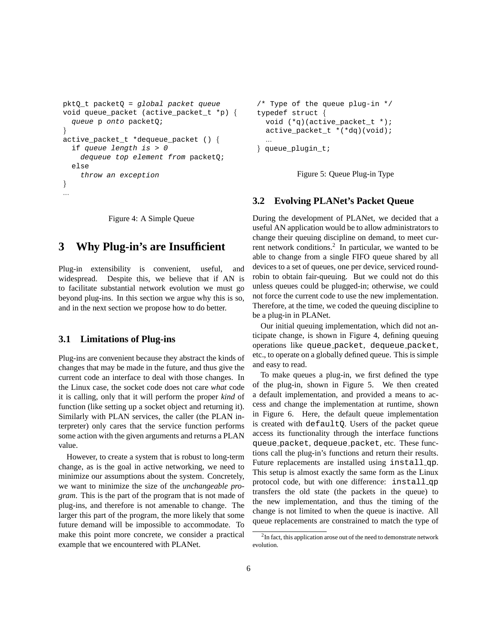```
pktQ_t packetQ = global packet queue
void queue_packet (active_packet_t *p) {
  queue p onto packetQ;
}
active_packet_t *dequeue_packet () {
  if queue length is > 0
    dequeue top element from packetQ;
  else
    throw an exception
}
...
```
Figure 4: A Simple Queue

# **3 Why Plug-in's are Insufficient**

Plug-in extensibility is convenient, useful, and widespread. Despite this, we believe that if AN is to facilitate substantial network evolution we must go beyond plug-ins. In this section we argue why this is so, and in the next section we propose how to do better.

### **3.1 Limitations of Plug-ins**

Plug-ins are convenient because they abstract the kinds of changes that may be made in the future, and thus give the current code an interface to deal with those changes. In the Linux case, the socket code does not care *what* code it is calling, only that it will perform the proper *kind* of function (like setting up a socket object and returning it). Similarly with PLAN services, the caller (the PLAN interpreter) only cares that the service function performs some action with the given arguments and returns a PLAN value.

However, to create a system that is robust to long-term change, as is the goal in active networking, we need to minimize our assumptions about the system. Concretely, we want to minimize the size of the *unchangeable program*. This is the part of the program that is not made of plug-ins, and therefore is not amenable to change. The larger this part of the program, the more likely that some future demand will be impossible to accommodate. To make this point more concrete, we consider a practical example that we encountered with PLANet.

```
/* Type of the queue plug-in */
typedef struct {
  void (*q)(active_packet_t *);
  active_packet_t *(*dq)(void);
 ...
} queue_plugin_t;
```
Figure 5: Queue Plug-in Type

#### **3.2 Evolving PLANet's Packet Queue**

During the development of PLANet, we decided that a useful AN application would be to allow administrators to change their queuing discipline on demand, to meet current network conditions.<sup>2</sup> In particular, we wanted to be able to change from a single FIFO queue shared by all devices to a set of queues, one per device, serviced roundrobin to obtain fair-queuing. But we could not do this unless queues could be plugged-in; otherwise, we could not force the current code to use the new implementation. Therefore, at the time, we coded the queuing discipline to be a plug-in in PLANet.

Our initial queuing implementation, which did not anticipate change, is shown in Figure 4, defining queuing operations like queue packet, dequeue packet, etc., to operate on a globally defined queue. This is simple and easy to read.

To make queues a plug-in, we first defined the type of the plug-in, shown in Figure 5. We then created a default implementation, and provided a means to access and change the implementation at runtime, shown in Figure 6. Here, the default queue implementation is created with defaultQ. Users of the packet queue access its functionality through the interface functions queue packet, dequeue packet, etc. These functions call the plug-in's functions and return their results. Future replacements are installed using install qp. This setup is almost exactly the same form as the Linux protocol code, but with one difference: install qp transfers the old state (the packets in the queue) to the new implementation, and thus the timing of the change is not limited to when the queue is inactive. All queue replacements are constrained to match the type of

 $2$ In fact, this application arose out of the need to demonstrate network evolution.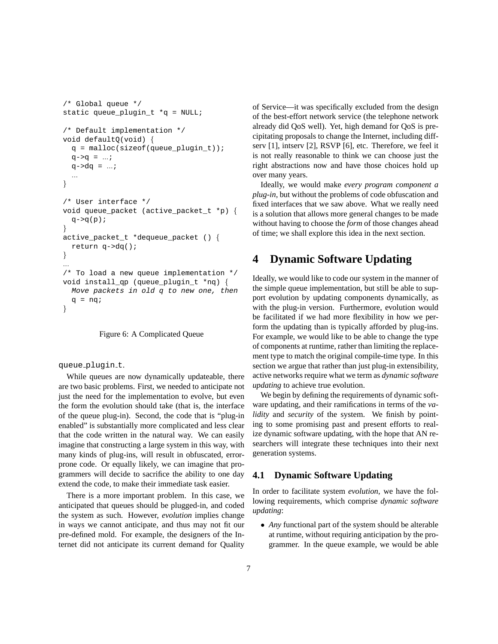```
/* Global queue */
static queue_plugin_t *q = NULL;
/* Default implementation */
void defaultQ(void) {
  q = malloc(sizeof(queue_plugin_t));
  q->q = ...;
  q - > dq = ...;...
}
/* User interface */
void queue_packet (active_packet_t *p) {
  q->q(p);
}
active_packet_t *dequeue_packet () {
  return q->dq();
}
...
/* To load a new queue implementation */
void install_qp (queue_plugin_t *nq) {
  Move packets in old q to new one, then
  q = ng;}
```
Figure 6: A Complicated Queue

#### queue plugin t.

While queues are now dynamically updateable, there are two basic problems. First, we needed to anticipate not just the need for the implementation to evolve, but even the form the evolution should take (that is, the interface of the queue plug-in). Second, the code that is "plug-in enabled" is substantially more complicated and less clear that the code written in the natural way. We can easily imagine that constructing a large system in this way, with many kinds of plug-ins, will result in obfuscated, errorprone code. Or equally likely, we can imagine that programmers will decide to sacrifice the ability to one day extend the code, to make their immediate task easier.

There is a more important problem. In this case, we anticipated that queues should be plugged-in, and coded the system as such. However, *evolution* implies change in ways we cannot anticipate, and thus may not fit our pre-defined mold. For example, the designers of the Internet did not anticipate its current demand for Quality of Service—it was specifically excluded from the design of the best-effort network service (the telephone network already did QoS well). Yet, high demand for QoS is precipitating proposals to change the Internet, including diffserv [1], intserv [2], RSVP [6], etc. Therefore, we feel it is not really reasonable to think we can choose just the right abstractions now and have those choices hold up over many years.

Ideally, we would make *every program component a plug-in*, but without the problems of code obfuscation and fixed interfaces that we saw above. What we really need is a solution that allows more general changes to be made without having to choose the *form* of those changes ahead of time; we shall explore this idea in the next section.

# **4 Dynamic Software Updating**

Ideally, we would like to code our system in the manner of the simple queue implementation, but still be able to support evolution by updating components dynamically, as with the plug-in version. Furthermore, evolution would be facilitated if we had more flexibility in how we perform the updating than is typically afforded by plug-ins. For example, we would like to be able to change the type of components at runtime, rather than limiting the replacement type to match the original compile-time type. In this section we argue that rather than just plug-in extensibility, active networks require what we term as *dynamic software updating* to achieve true evolution.

We begin by defining the requirements of dynamic software updating, and their ramifications in terms of the *validity* and *security* of the system. We finish by pointing to some promising past and present efforts to realize dynamic software updating, with the hope that AN researchers will integrate these techniques into their next generation systems.

### **4.1 Dynamic Software Updating**

In order to facilitate system *evolution*, we have the following requirements, which comprise *dynamic software updating*:

• *Any* functional part of the system should be alterable at runtime, without requiring anticipation by the programmer. In the queue example, we would be able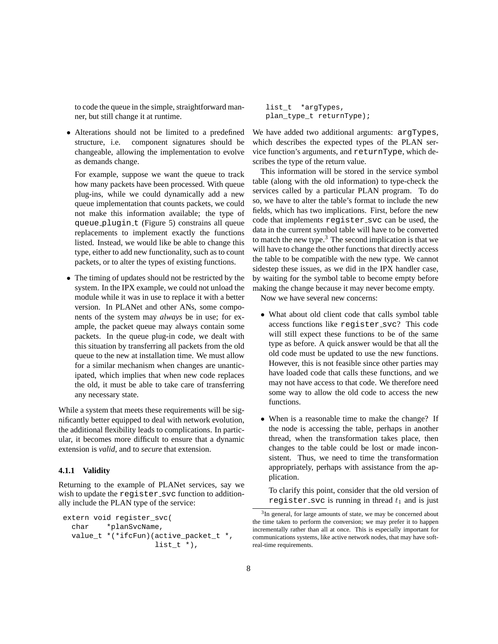to code the queue in the simple, straightforward manner, but still change it at runtime.

• Alterations should not be limited to a predefined structure, i.e. component signatures should be changeable, allowing the implementation to evolve as demands change.

For example, suppose we want the queue to track how many packets have been processed. With queue plug-ins, while we could dynamically add a new queue implementation that counts packets, we could not make this information available; the type of queue plugin t (Figure 5) constrains all queue replacements to implement exactly the functions listed. Instead, we would like be able to change this type, either to add new functionality, such as to count packets, or to alter the types of existing functions.

• The timing of updates should not be restricted by the system. In the IPX example, we could not unload the module while it was in use to replace it with a better version. In PLANet and other ANs, some components of the system may *always* be in use; for example, the packet queue may always contain some packets. In the queue plug-in code, we dealt with this situation by transferring all packets from the old queue to the new at installation time. We must allow for a similar mechanism when changes are unanticipated, which implies that when new code replaces the old, it must be able to take care of transferring any necessary state.

While a system that meets these requirements will be significantly better equipped to deal with network evolution, the additional flexibility leads to complications. In particular, it becomes more difficult to ensure that a dynamic extension is *valid*, and to *secure* that extension.

#### **4.1.1 Validity**

Returning to the example of PLANet services, say we wish to update the register svc function to additionally include the PLAN type of the service:

```
extern void register_svc(
 char *planSvcName,
 value_t *(*ifcFun)(active_packet_t *,
                    list_t *,
```
list\_t \*argTypes, plan\_type\_t returnType);

We have added two additional arguments: argTypes, which describes the expected types of the PLAN service function's arguments, and returnType, which describes the type of the return value.

This information will be stored in the service symbol table (along with the old information) to type-check the services called by a particular PLAN program. To do so, we have to alter the table's format to include the new fields, which has two implications. First, before the new code that implements register svc can be used, the data in the current symbol table will have to be converted to match the new type. $3$  The second implication is that we will have to change the other functions that directly access the table to be compatible with the new type. We cannot sidestep these issues, as we did in the IPX handler case, by waiting for the symbol table to become empty before making the change because it may never become empty.

Now we have several new concerns:

- What about old client code that calls symbol table access functions like register svc? This code will still expect these functions to be of the same type as before. A quick answer would be that all the old code must be updated to use the new functions. However, this is not feasible since other parties may have loaded code that calls these functions, and we may not have access to that code. We therefore need some way to allow the old code to access the new functions.
- When is a reasonable time to make the change? If the node is accessing the table, perhaps in another thread, when the transformation takes place, then changes to the table could be lost or made inconsistent. Thus, we need to time the transformation appropriately, perhaps with assistance from the application.

To clarify this point, consider that the old version of register svc is running in thread  $t_1$  and is just

<sup>&</sup>lt;sup>3</sup>In general, for large amounts of state, we may be concerned about the time taken to perform the conversion; we may prefer it to happen incrementally rather than all at once. This is especially important for communications systems, like active network nodes, that may have softreal-time requirements.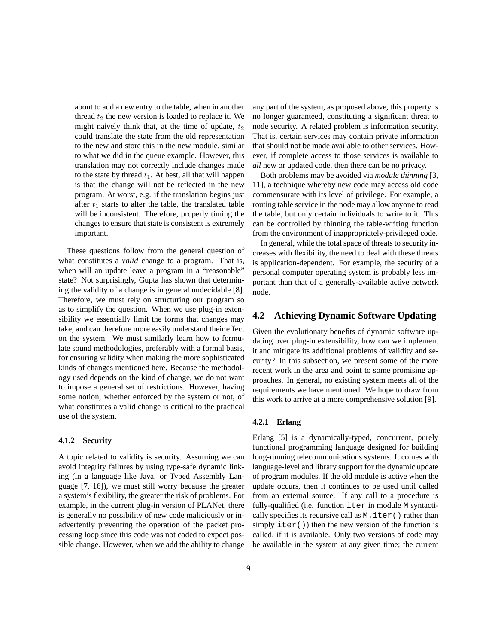about to add a new entry to the table, when in another thread  $t_2$  the new version is loaded to replace it. We might naively think that, at the time of update,  $t_2$ could translate the state from the old representation to the new and store this in the new module, similar to what we did in the queue example. However, this translation may not correctly include changes made to the state by thread  $t_1$ . At best, all that will happen is that the change will not be reflected in the new program. At worst, e.g. if the translation begins just after  $t_1$  starts to alter the table, the translated table will be inconsistent. Therefore, properly timing the changes to ensure that state is consistent is extremely important.

These questions follow from the general question of what constitutes a *valid* change to a program. That is, when will an update leave a program in a "reasonable" state? Not surprisingly, Gupta has shown that determining the validity of a change is in general undecidable [8]. Therefore, we must rely on structuring our program so as to simplify the question. When we use plug-in extensibility we essentially limit the forms that changes may take, and can therefore more easily understand their effect on the system. We must similarly learn how to formulate sound methodologies, preferably with a formal basis, for ensuring validity when making the more sophisticated kinds of changes mentioned here. Because the methodology used depends on the kind of change, we do not want to impose a general set of restrictions. However, having some notion, whether enforced by the system or not, of what constitutes a valid change is critical to the practical use of the system.

#### **4.1.2 Security**

A topic related to validity is security. Assuming we can avoid integrity failures by using type-safe dynamic linking (in a language like Java, or Typed Assembly Language [7, 16]), we must still worry because the greater a system's flexibility, the greater the risk of problems. For example, in the current plug-in version of PLANet, there is generally no possibility of new code maliciously or inadvertently preventing the operation of the packet processing loop since this code was not coded to expect possible change. However, when we add the ability to change any part of the system, as proposed above, this property is no longer guaranteed, constituting a significant threat to node security. A related problem is information security. That is, certain services may contain private information that should not be made available to other services. However, if complete access to those services is available to *all* new or updated code, then there can be no privacy.

Both problems may be avoided via *module thinning* [3, 11], a technique whereby new code may access old code commensurate with its level of privilege. For example, a routing table service in the node may allow anyone to read the table, but only certain individuals to write to it. This can be controlled by thinning the table-writing function from the environment of inappropriately-privileged code.

In general, while the total space of threats to security increases with flexibility, the need to deal with these threats is application-dependent. For example, the security of a personal computer operating system is probably less important than that of a generally-available active network node.

### **4.2 Achieving Dynamic Software Updating**

Given the evolutionary benefits of dynamic software updating over plug-in extensibility, how can we implement it and mitigate its additional problems of validity and security? In this subsection, we present some of the more recent work in the area and point to some promising approaches. In general, no existing system meets all of the requirements we have mentioned. We hope to draw from this work to arrive at a more comprehensive solution [9].

#### **4.2.1 Erlang**

Erlang [5] is a dynamically-typed, concurrent, purely functional programming language designed for building long-running telecommunications systems. It comes with language-level and library support for the dynamic update of program modules. If the old module is active when the update occurs, then it continues to be used until called from an external source. If any call to a procedure is fully-qualified (i.e. function iter in module M syntactically specifies its recursive call as M.iter() rather than simply  $iter()$  then the new version of the function is called, if it is available. Only two versions of code may be available in the system at any given time; the current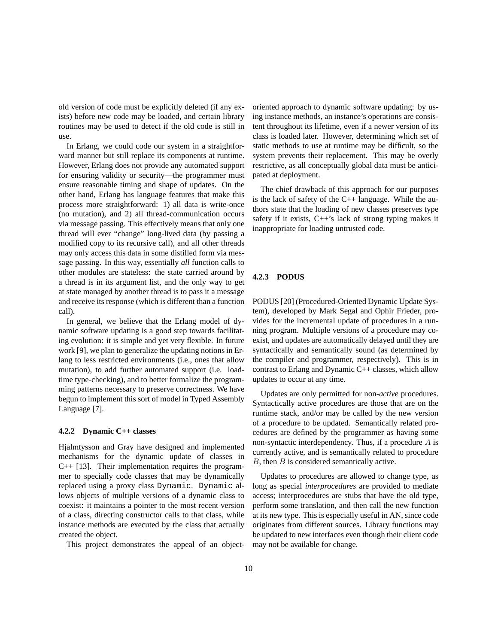old version of code must be explicitly deleted (if any exists) before new code may be loaded, and certain library routines may be used to detect if the old code is still in use.

In Erlang, we could code our system in a straightforward manner but still replace its components at runtime. However, Erlang does not provide any automated support for ensuring validity or security—the programmer must ensure reasonable timing and shape of updates. On the other hand, Erlang has language features that make this process more straightforward: 1) all data is write-once (no mutation), and 2) all thread-communication occurs via message passing. This effectively means that only one thread will ever "change" long-lived data (by passing a modified copy to its recursive call), and all other threads may only access this data in some distilled form via message passing. In this way, essentially *all* function calls to other modules are stateless: the state carried around by a thread is in its argument list, and the only way to get at state managed by another thread is to pass it a message and receive its response (which is different than a function call).

In general, we believe that the Erlang model of dynamic software updating is a good step towards facilitating evolution: it is simple and yet very flexible. In future work [9], we plan to generalize the updating notions in Erlang to less restricted environments (i.e., ones that allow mutation), to add further automated support (i.e. loadtime type-checking), and to better formalize the programming patterns necessary to preserve correctness. We have begun to implement this sort of model in Typed Assembly Language [7].

#### **4.2.2 Dynamic C++ classes**

Hjalmtysson and Gray have designed and implemented mechanisms for the dynamic update of classes in C++ [13]. Their implementation requires the programmer to specially code classes that may be dynamically replaced using a proxy class Dynamic. Dynamic allows objects of multiple versions of a dynamic class to coexist: it maintains a pointer to the most recent version of a class, directing constructor calls to that class, while instance methods are executed by the class that actually created the object.

This project demonstrates the appeal of an object-

oriented approach to dynamic software updating: by using instance methods, an instance's operations are consistent throughout its lifetime, even if a newer version of its class is loaded later. However, determining which set of static methods to use at runtime may be difficult, so the system prevents their replacement. This may be overly restrictive, as all conceptually global data must be anticipated at deployment.

The chief drawback of this approach for our purposes is the lack of safety of the  $C++$  language. While the authors state that the loading of new classes preserves type safety if it exists, C++'s lack of strong typing makes it inappropriate for loading untrusted code.

#### **4.2.3 PODUS**

PODUS [20] (Procedured-Oriented Dynamic Update System), developed by Mark Segal and Ophir Frieder, provides for the incremental update of procedures in a running program. Multiple versions of a procedure may coexist, and updates are automatically delayed until they are syntactically and semantically sound (as determined by the compiler and programmer, respectively). This is in contrast to Erlang and Dynamic C++ classes, which allow updates to occur at any time.

Updates are only permitted for non-*active* procedures. Syntactically active procedures are those that are on the runtime stack, and/or may be called by the new version of a procedure to be updated. Semantically related procedures are defined by the programmer as having some non-syntactic interdependency. Thus, if a procedure A is currently active, and is semantically related to procedure  $B$ , then  $B$  is considered semantically active.

Updates to procedures are allowed to change type, as long as special *interprocedures* are provided to mediate access; interprocedures are stubs that have the old type, perform some translation, and then call the new function at its new type. This is especially useful in AN, since code originates from different sources. Library functions may be updated to new interfaces even though their client code may not be available for change.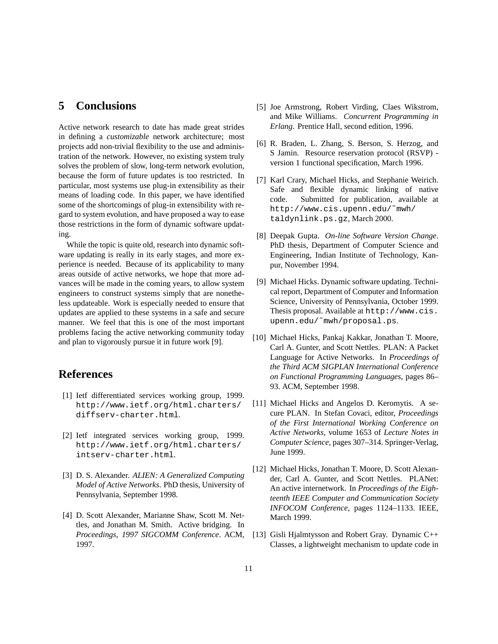# **5 Conclusions**

Active network research to date has made great strides in defining a *customizable* network architecture; most projects add non-trivial flexibility to the use and administration of the network. However, no existing system truly solves the problem of slow, long-term network evolution, because the form of future updates is too restricted. In particular, most systems use plug-in extensibility as their means of loading code. In this paper, we have identified some of the shortcomings of plug-in extensibility with regard to system evolution, and have proposed a way to ease those restrictions in the form of dynamic software updating.

While the topic is quite old, research into dynamic software updating is really in its early stages, and more experience is needed. Because of its applicability to many areas outside of active networks, we hope that more advances will be made in the coming years, to allow system engineers to construct systems simply that are nonetheless updateable. Work is especially needed to ensure that updates are applied to these systems in a safe and secure manner. We feel that this is one of the most important problems facing the active networking community today and plan to vigorously pursue it in future work [9].

# **References**

- [1] Ietf differentiated services working group, 1999. http://www.ietf.org/html.charters/ diffserv-charter.html.
- [2] Ietf integrated services working group, 1999. http://www.ietf.org/html.charters/ intserv-charter.html.
- [3] D. S. Alexander. *ALIEN: A Generalized Computing Model of Active Networks*. PhD thesis, University of Pennsylvania, September 1998.
- [4] D. Scott Alexander, Marianne Shaw, Scott M. Nettles, and Jonathan M. Smith. Active bridging. In *Proceedings, 1997 SIGCOMM Conference*. ACM, 1997.
- [5] Joe Armstrong, Robert Virding, Claes Wikstrom, and Mike Williams. *Concurrent Programming in Erlang*. Prentice Hall, second edition, 1996.
- [6] R. Braden, L. Zhang, S. Berson, S. Herzog, and S Jamin. Resource reservation protocol (RSVP) version 1 functional specification, March 1996.
- [7] Karl Crary, Michael Hicks, and Stephanie Weirich. Safe and flexible dynamic linking of native code. Submitted for publication, available at http://www.cis.upenn.edu/˜mwh/ taldynlink.ps.gz, March 2000.
- [8] Deepak Gupta. *On-line Software Version Change*. PhD thesis, Department of Computer Science and Engineering, Indian Institute of Technology, Kanpur, November 1994.
- [9] Michael Hicks. Dynamic software updating. Technical report, Department of Computer and Information Science, University of Pennsylvania, October 1999. Thesis proposal. Available at http://www.cis. upenn.edu/˜mwh/proposal.ps.
- [10] Michael Hicks, Pankaj Kakkar, Jonathan T. Moore, Carl A. Gunter, and Scott Nettles. PLAN: A Packet Language for Active Networks. In *Proceedings of the Third ACM SIGPLAN International Conference on Functional Programming Languages*, pages 86– 93. ACM, September 1998.
- [11] Michael Hicks and Angelos D. Keromytis. A secure PLAN. In Stefan Covaci, editor, *Proceedings of the First International Working Conference on Active Networks*, volume 1653 of *Lecture Notes in Computer Science*, pages 307–314. Springer-Verlag, June 1999.
- [12] Michael Hicks, Jonathan T. Moore, D. Scott Alexander, Carl A. Gunter, and Scott Nettles. PLANet: An active internetwork. In *Proceedings of the Eighteenth IEEE Computer and Communication Society INFOCOM Conference*, pages 1124–1133. IEEE, March 1999.
- [13] Gisli Hjalmtysson and Robert Gray. Dynamic C++ Classes, a lightweight mechanism to update code in